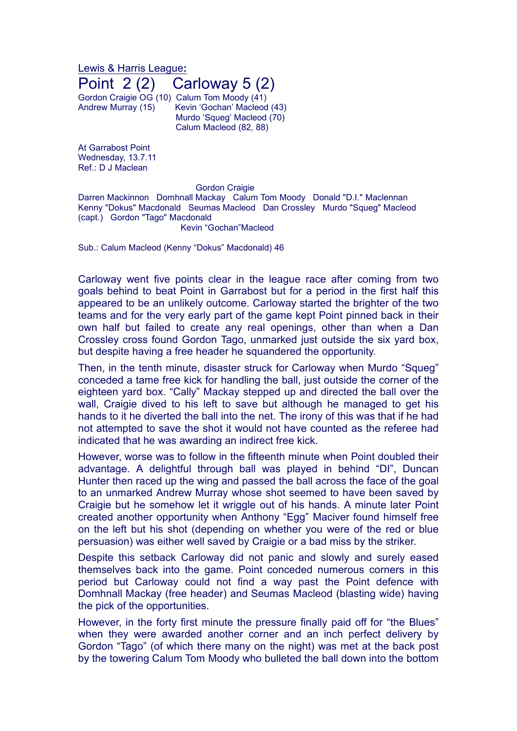Lewis & Harris League**:** Point 2 (2) Carloway 5 (2)

Gordon Craigie OG (10) Calum Tom Moody (41) Andrew Murray (15) Kevin 'Gochan' Macleod (43) Murdo 'Squeg' Macleod (70) Calum Macleod (82, 88)

At Garrabost Point Wednesday, 13.7.11 Ref.: D J Maclean

## **Gordon Craigie**

Darren Mackinnon Domhnall Mackay Calum Tom Moody Donald "D.I." Maclennan Kenny "Dokus" Macdonald Seumas Macleod Dan Crossley Murdo "Squeg" Macleod (capt.) Gordon "Tago" Macdonald Kevin "Gochan"Macleod

Sub.: Calum Macleod (Kenny "Dokus" Macdonald) 46

Carloway went five points clear in the league race after coming from two goals behind to beat Point in Garrabost but for a period in the first half this appeared to be an unlikely outcome. Carloway started the brighter of the two teams and for the very early part of the game kept Point pinned back in their own half but failed to create any real openings, other than when a Dan Crossley cross found Gordon Tago, unmarked just outside the six yard box, but despite having a free header he squandered the opportunity.

Then, in the tenth minute, disaster struck for Carloway when Murdo "Squeg" conceded a tame free kick for handling the ball, just outside the corner of the eighteen yard box. "Cally" Mackay stepped up and directed the ball over the wall, Craigie dived to his left to save but although he managed to get his hands to it he diverted the ball into the net. The irony of this was that if he had not attempted to save the shot it would not have counted as the referee had indicated that he was awarding an indirect free kick.

However, worse was to follow in the fifteenth minute when Point doubled their advantage. A delightful through ball was played in behind "DI", Duncan Hunter then raced up the wing and passed the ball across the face of the goal to an unmarked Andrew Murray whose shot seemed to have been saved by Craigie but he somehow let it wriggle out of his hands. A minute later Point created another opportunity when Anthony "Egg" Maciver found himself free on the left but his shot (depending on whether you were of the red or blue persuasion) was either well saved by Craigie or a bad miss by the striker.

Despite this setback Carloway did not panic and slowly and surely eased themselves back into the game. Point conceded numerous corners in this period but Carloway could not find a way past the Point defence with Domhnall Mackay (free header) and Seumas Macleod (blasting wide) having the pick of the opportunities.

However, in the forty first minute the pressure finally paid off for "the Blues" when they were awarded another corner and an inch perfect delivery by Gordon "Tago" (of which there many on the night) was met at the back post by the towering Calum Tom Moody who bulleted the ball down into the bottom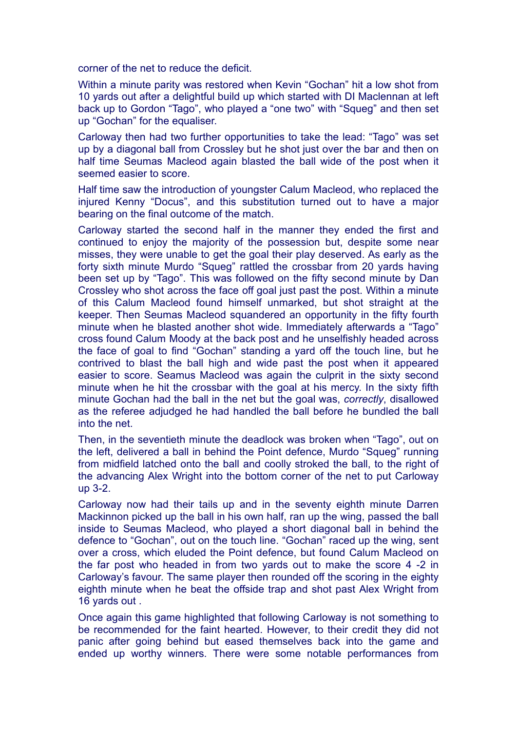corner of the net to reduce the deficit.

Within a minute parity was restored when Kevin "Gochan" hit a low shot from 10 yards out after a delightful build up which started with DI Maclennan at left back up to Gordon "Tago", who played a "one two" with "Squeg" and then set up "Gochan" for the equaliser.

Carloway then had two further opportunities to take the lead: "Tago" was set up by a diagonal ball from Crossley but he shot just over the bar and then on half time Seumas Macleod again blasted the ball wide of the post when it seemed easier to score.

Half time saw the introduction of youngster Calum Macleod, who replaced the injured Kenny "Docus", and this substitution turned out to have a major bearing on the final outcome of the match.

Carloway started the second half in the manner they ended the first and continued to enjoy the majority of the possession but, despite some near misses, they were unable to get the goal their play deserved. As early as the forty sixth minute Murdo "Squeg" rattled the crossbar from 20 yards having been set up by "Tago". This was followed on the fifty second minute by Dan Crossley who shot across the face off goal just past the post. Within a minute of this Calum Macleod found himself unmarked, but shot straight at the keeper. Then Seumas Macleod squandered an opportunity in the fifty fourth minute when he blasted another shot wide. Immediately afterwards a "Tago" cross found Calum Moody at the back post and he unselfishly headed across the face of goal to find "Gochan" standing a yard off the touch line, but he contrived to blast the ball high and wide past the post when it appeared easier to score. Seamus Macleod was again the culprit in the sixty second minute when he hit the crossbar with the goal at his mercy. In the sixty fifth minute Gochan had the ball in the net but the goal was, *correctly*, disallowed as the referee adjudged he had handled the ball before he bundled the ball into the net.

Then, in the seventieth minute the deadlock was broken when "Tago", out on the left, delivered a ball in behind the Point defence, Murdo "Squeg" running from midfield latched onto the ball and coolly stroked the ball, to the right of the advancing Alex Wright into the bottom corner of the net to put Carloway up 3-2.

Carloway now had their tails up and in the seventy eighth minute Darren Mackinnon picked up the ball in his own half, ran up the wing, passed the ball inside to Seumas Macleod, who played a short diagonal ball in behind the defence to "Gochan", out on the touch line. "Gochan" raced up the wing, sent over a cross, which eluded the Point defence, but found Calum Macleod on the far post who headed in from two yards out to make the score 4 -2 in Carloway's favour. The same player then rounded off the scoring in the eighty eighth minute when he beat the offside trap and shot past Alex Wright from 16 yards out .

Once again this game highlighted that following Carloway is not something to be recommended for the faint hearted. However, to their credit they did not panic after going behind but eased themselves back into the game and ended up worthy winners. There were some notable performances from